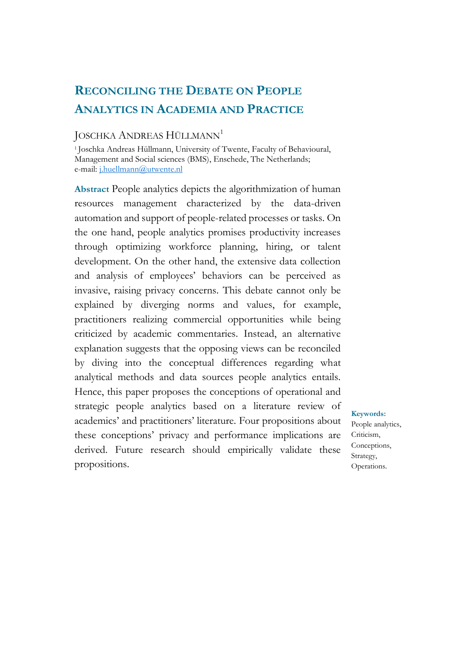# **RECONCILING THE DEBATE ON PEOPLE ANALYTICS IN ACADEMIA AND PRACTICE**

### JOSCHKA ANDREAS HÜLLMANN<sup>1</sup>

<sup>1</sup>Joschka Andreas Hüllmann, University of Twente, Faculty of Behavioural, Management and Social sciences (BMS), Enschede, The Netherlands; e-mail: [j.huellmann@utwente.nl](mailto:j.huellmann@utwente.nl)

**Abstract** People analytics depicts the algorithmization of human resources management characterized by the data-driven automation and support of people-related processes or tasks. On the one hand, people analytics promises productivity increases through optimizing workforce planning, hiring, or talent development. On the other hand, the extensive data collection and analysis of employees' behaviors can be perceived as invasive, raising privacy concerns. This debate cannot only be explained by diverging norms and values, for example, practitioners realizing commercial opportunities while being criticized by academic commentaries. Instead, an alternative explanation suggests that the opposing views can be reconciled by diving into the conceptual differences regarding what analytical methods and data sources people analytics entails. Hence, this paper proposes the conceptions of operational and strategic people analytics based on a literature review of academics' and practitioners' literature. Four propositions about these conceptions' privacy and performance implications are derived. Future research should empirically validate these propositions.

# **Keywords:** People analytics,

Criticism, Conceptions, Strategy, Operations.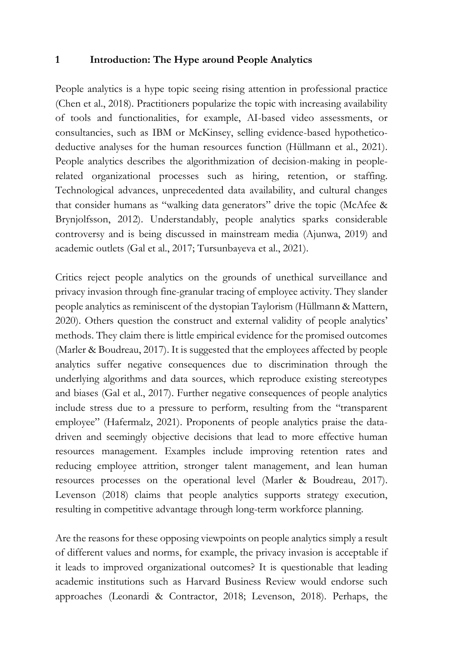#### **1 Introduction: The Hype around People Analytics**

People analytics is a hype topic seeing rising attention in professional practice (Chen et al., 2018). Practitioners popularize the topic with increasing availability of tools and functionalities, for example, AI-based video assessments, or consultancies, such as IBM or McKinsey, selling evidence-based hypotheticodeductive analyses for the human resources function (Hüllmann et al., 2021). People analytics describes the algorithmization of decision-making in peoplerelated organizational processes such as hiring, retention, or staffing. Technological advances, unprecedented data availability, and cultural changes that consider humans as "walking data generators" drive the topic (McAfee & Brynjolfsson, 2012). Understandably, people analytics sparks considerable controversy and is being discussed in mainstream media (Ajunwa, 2019) and academic outlets (Gal et al., 2017; Tursunbayeva et al., 2021).

Critics reject people analytics on the grounds of unethical surveillance and privacy invasion through fine-granular tracing of employee activity. They slander people analytics as reminiscent of the dystopian Taylorism (Hüllmann & Mattern, 2020). Others question the construct and external validity of people analytics' methods. They claim there is little empirical evidence for the promised outcomes (Marler & Boudreau, 2017). It is suggested that the employees affected by people analytics suffer negative consequences due to discrimination through the underlying algorithms and data sources, which reproduce existing stereotypes and biases (Gal et al., 2017). Further negative consequences of people analytics include stress due to a pressure to perform, resulting from the "transparent employee" (Hafermalz, 2021). Proponents of people analytics praise the datadriven and seemingly objective decisions that lead to more effective human resources management. Examples include improving retention rates and reducing employee attrition, stronger talent management, and lean human resources processes on the operational level (Marler & Boudreau, 2017). Levenson (2018) claims that people analytics supports strategy execution, resulting in competitive advantage through long-term workforce planning.

Are the reasons for these opposing viewpoints on people analytics simply a result of different values and norms, for example, the privacy invasion is acceptable if it leads to improved organizational outcomes? It is questionable that leading academic institutions such as Harvard Business Review would endorse such approaches (Leonardi & Contractor, 2018; Levenson, 2018). Perhaps, the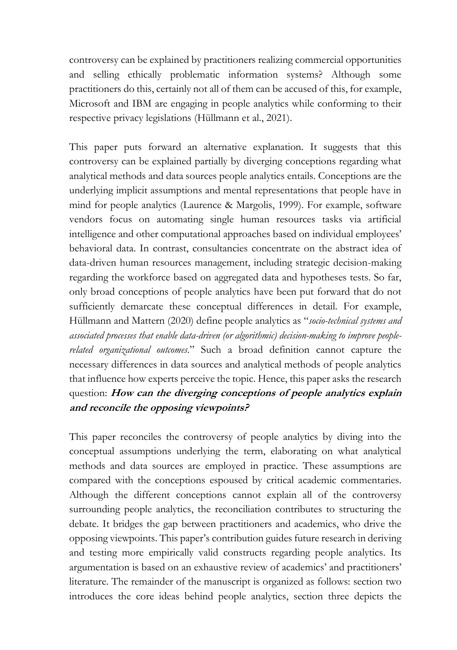controversy can be explained by practitioners realizing commercial opportunities and selling ethically problematic information systems? Although some practitioners do this, certainly not all of them can be accused of this, for example, Microsoft and IBM are engaging in people analytics while conforming to their respective privacy legislations (Hüllmann et al., 2021).

This paper puts forward an alternative explanation. It suggests that this controversy can be explained partially by diverging conceptions regarding what analytical methods and data sources people analytics entails. Conceptions are the underlying implicit assumptions and mental representations that people have in mind for people analytics (Laurence & Margolis, 1999). For example, software vendors focus on automating single human resources tasks via artificial intelligence and other computational approaches based on individual employees' behavioral data. In contrast, consultancies concentrate on the abstract idea of data-driven human resources management, including strategic decision-making regarding the workforce based on aggregated data and hypotheses tests. So far, only broad conceptions of people analytics have been put forward that do not sufficiently demarcate these conceptual differences in detail. For example, Hüllmann and Mattern (2020) define people analytics as "*socio-technical systems and associated processes that enable data-driven (or algorithmic) decision-making to improve peoplerelated organizational outcomes*." Such a broad definition cannot capture the necessary differences in data sources and analytical methods of people analytics that influence how experts perceive the topic. Hence, this paper asks the research question: **How can the diverging conceptions of people analytics explain and reconcile the opposing viewpoints?**

This paper reconciles the controversy of people analytics by diving into the conceptual assumptions underlying the term, elaborating on what analytical methods and data sources are employed in practice. These assumptions are compared with the conceptions espoused by critical academic commentaries. Although the different conceptions cannot explain all of the controversy surrounding people analytics, the reconciliation contributes to structuring the debate. It bridges the gap between practitioners and academics, who drive the opposing viewpoints. This paper's contribution guides future research in deriving and testing more empirically valid constructs regarding people analytics. Its argumentation is based on an exhaustive review of academics' and practitioners' literature. The remainder of the manuscript is organized as follows: section two introduces the core ideas behind people analytics, section three depicts the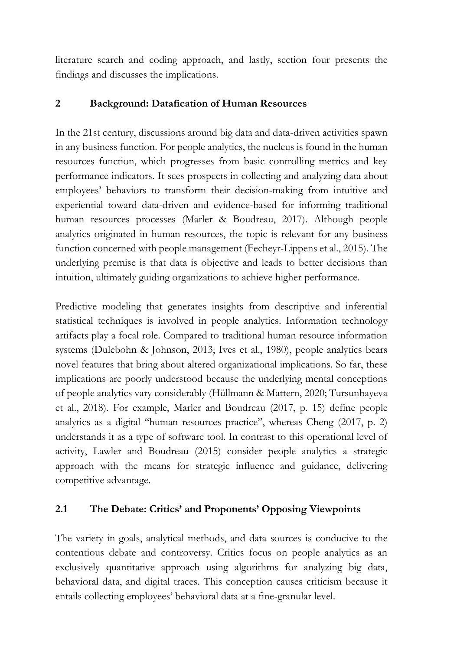literature search and coding approach, and lastly, section four presents the findings and discusses the implications.

# **2 Background: Datafication of Human Resources**

In the 21st century, discussions around big data and data-driven activities spawn in any business function. For people analytics, the nucleus is found in the human resources function, which progresses from basic controlling metrics and key performance indicators. It sees prospects in collecting and analyzing data about employees' behaviors to transform their decision-making from intuitive and experiential toward data-driven and evidence-based for informing traditional human resources processes (Marler & Boudreau, 2017). Although people analytics originated in human resources, the topic is relevant for any business function concerned with people management (Fecheyr-Lippens et al., 2015). The underlying premise is that data is objective and leads to better decisions than intuition, ultimately guiding organizations to achieve higher performance.

Predictive modeling that generates insights from descriptive and inferential statistical techniques is involved in people analytics. Information technology artifacts play a focal role. Compared to traditional human resource information systems (Dulebohn & Johnson, 2013; Ives et al., 1980), people analytics bears novel features that bring about altered organizational implications. So far, these implications are poorly understood because the underlying mental conceptions of people analytics vary considerably (Hüllmann & Mattern, 2020; Tursunbayeva et al., 2018). For example, Marler and Boudreau (2017, p. 15) define people analytics as a digital "human resources practice", whereas Cheng (2017, p. 2) understands it as a type of software tool. In contrast to this operational level of activity, Lawler and Boudreau (2015) consider people analytics a strategic approach with the means for strategic influence and guidance, delivering competitive advantage.

# **2.1 The Debate: Critics' and Proponents' Opposing Viewpoints**

The variety in goals, analytical methods, and data sources is conducive to the contentious debate and controversy. Critics focus on people analytics as an exclusively quantitative approach using algorithms for analyzing big data, behavioral data, and digital traces. This conception causes criticism because it entails collecting employees' behavioral data at a fine-granular level.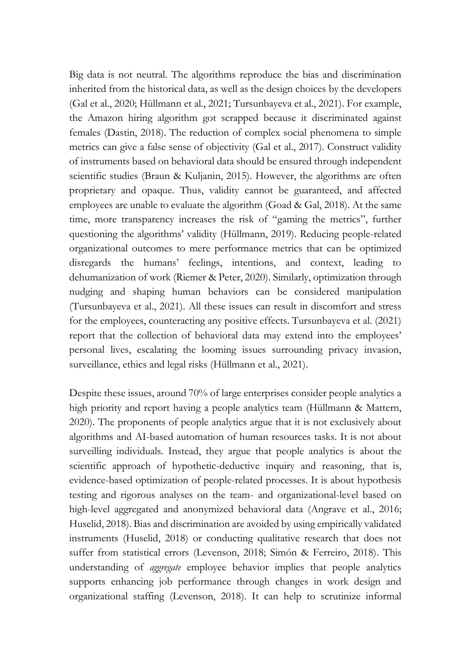Big data is not neutral. The algorithms reproduce the bias and discrimination inherited from the historical data, as well as the design choices by the developers (Gal et al., 2020; Hüllmann et al., 2021; Tursunbayeva et al., 2021). For example, the Amazon hiring algorithm got scrapped because it discriminated against females (Dastin, 2018). The reduction of complex social phenomena to simple metrics can give a false sense of objectivity (Gal et al., 2017). Construct validity of instruments based on behavioral data should be ensured through independent scientific studies (Braun & Kuljanin, 2015). However, the algorithms are often proprietary and opaque. Thus, validity cannot be guaranteed, and affected employees are unable to evaluate the algorithm (Goad & Gal, 2018). At the same time, more transparency increases the risk of "gaming the metrics", further questioning the algorithms' validity (Hüllmann, 2019). Reducing people-related organizational outcomes to mere performance metrics that can be optimized disregards the humans' feelings, intentions, and context, leading to dehumanization of work (Riemer & Peter, 2020). Similarly, optimization through nudging and shaping human behaviors can be considered manipulation (Tursunbayeva et al., 2021). All these issues can result in discomfort and stress for the employees, counteracting any positive effects. Tursunbayeva et al. (2021) report that the collection of behavioral data may extend into the employees' personal lives, escalating the looming issues surrounding privacy invasion, surveillance, ethics and legal risks (Hüllmann et al., 2021).

Despite these issues, around 70% of large enterprises consider people analytics a high priority and report having a people analytics team (Hüllmann & Mattern, 2020). The proponents of people analytics argue that it is not exclusively about algorithms and AI-based automation of human resources tasks. It is not about surveilling individuals. Instead, they argue that people analytics is about the scientific approach of hypothetic-deductive inquiry and reasoning, that is, evidence-based optimization of people-related processes. It is about hypothesis testing and rigorous analyses on the team- and organizational-level based on high-level aggregated and anonymized behavioral data (Angrave et al., 2016; Huselid, 2018). Bias and discrimination are avoided by using empirically validated instruments (Huselid, 2018) or conducting qualitative research that does not suffer from statistical errors (Levenson, 2018; Simón & Ferreiro, 2018). This understanding of *aggregate* employee behavior implies that people analytics supports enhancing job performance through changes in work design and organizational staffing (Levenson, 2018). It can help to scrutinize informal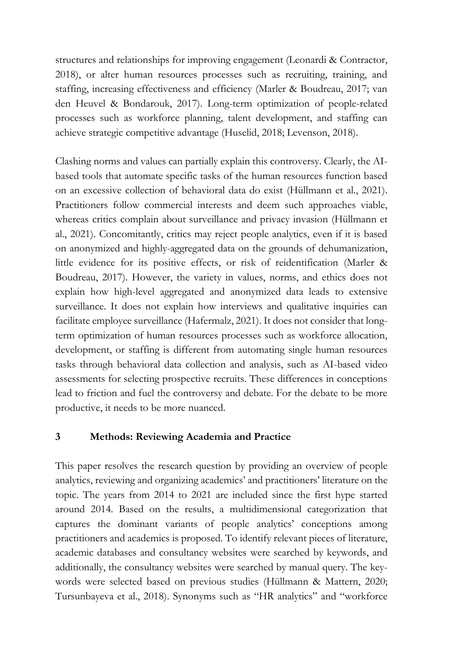structures and relationships for improving engagement (Leonardi & Contractor, 2018), or alter human resources processes such as recruiting, training, and staffing, increasing effectiveness and efficiency (Marler & Boudreau, 2017; van den Heuvel & Bondarouk, 2017). Long-term optimization of people-related processes such as workforce planning, talent development, and staffing can achieve strategic competitive advantage (Huselid, 2018; Levenson, 2018).

Clashing norms and values can partially explain this controversy. Clearly, the AIbased tools that automate specific tasks of the human resources function based on an excessive collection of behavioral data do exist (Hüllmann et al., 2021). Practitioners follow commercial interests and deem such approaches viable, whereas critics complain about surveillance and privacy invasion (Hüllmann et al., 2021). Concomitantly, critics may reject people analytics, even if it is based on anonymized and highly-aggregated data on the grounds of dehumanization, little evidence for its positive effects, or risk of reidentification (Marler & Boudreau, 2017). However, the variety in values, norms, and ethics does not explain how high-level aggregated and anonymized data leads to extensive surveillance. It does not explain how interviews and qualitative inquiries can facilitate employee surveillance (Hafermalz, 2021). It does not consider that longterm optimization of human resources processes such as workforce allocation, development, or staffing is different from automating single human resources tasks through behavioral data collection and analysis, such as AI-based video assessments for selecting prospective recruits. These differences in conceptions lead to friction and fuel the controversy and debate. For the debate to be more productive, it needs to be more nuanced.

# **3 Methods: Reviewing Academia and Practice**

This paper resolves the research question by providing an overview of people analytics, reviewing and organizing academics' and practitioners' literature on the topic. The years from 2014 to 2021 are included since the first hype started around 2014. Based on the results, a multidimensional categorization that captures the dominant variants of people analytics' conceptions among practitioners and academics is proposed. To identify relevant pieces of literature, academic databases and consultancy websites were searched by keywords, and additionally, the consultancy websites were searched by manual query. The keywords were selected based on previous studies (Hüllmann & Mattern, 2020; Tursunbayeva et al., 2018). Synonyms such as "HR analytics" and "workforce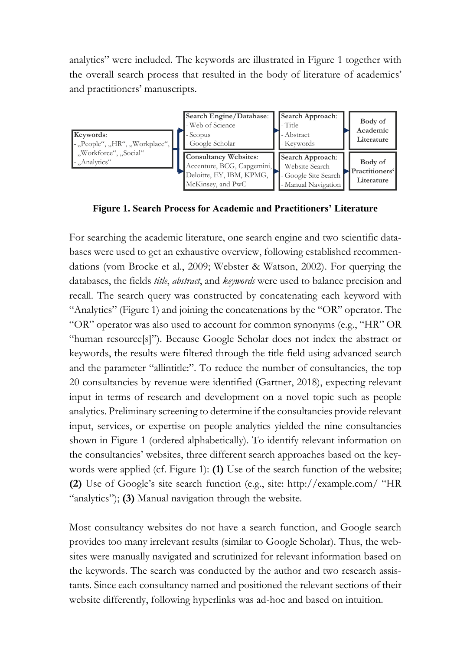analytics" were included. The keywords are illustrated in [Figure 1](#page-6-0) together with the overall search process that resulted in the body of literature of academics' and practitioners' manuscripts.



<span id="page-6-0"></span>**Figure 1. Search Process for Academic and Practitioners' Literature**

For searching the academic literature, one search engine and two scientific databases were used to get an exhaustive overview, following established recommendations (vom Brocke et al., 2009; Webster & Watson, 2002). For querying the databases, the fields *title*, *abstract*, and *keywords* were used to balance precision and recall. The search query was constructed by concatenating each keyword with "Analytics" (Figure 1) and joining the concatenations by the "OR" operator. The "OR" operator was also used to account for common synonyms (e.g., "HR" OR "human resource[s]"). Because Google Scholar does not index the abstract or keywords, the results were filtered through the title field using advanced search and the parameter "allintitle:". To reduce the number of consultancies, the top 20 consultancies by revenue were identified (Gartner, 2018), expecting relevant input in terms of research and development on a novel topic such as people analytics. Preliminary screening to determine if the consultancies provide relevant input, services, or expertise on people analytics yielded the nine consultancies shown in [Figure 1](#page-6-0) (ordered alphabetically). To identify relevant information on the consultancies' websites, three different search approaches based on the keywords were applied (cf. [Figure 1\)](#page-6-0): **(1)** Use of the search function of the website; **(2)** Use of Google's site search function (e.g., site: http://example.com/ "HR "analytics"); **(3)** Manual navigation through the website. Website different and the parameter "shine", altowing the state of the state of the state of the state of the state of the state of the state of the state of the state of the state of the state of the state of the state of

Most consultancy websites do not have a search function, and Google search provides too many irrelevant results (similar to Google Scholar). Thus, the websites were manually navigated and scrutinized for relevant information based on the keywords. The search was conducted by the author and two research assistants. Since each consultancy named and positioned the relevant sections of their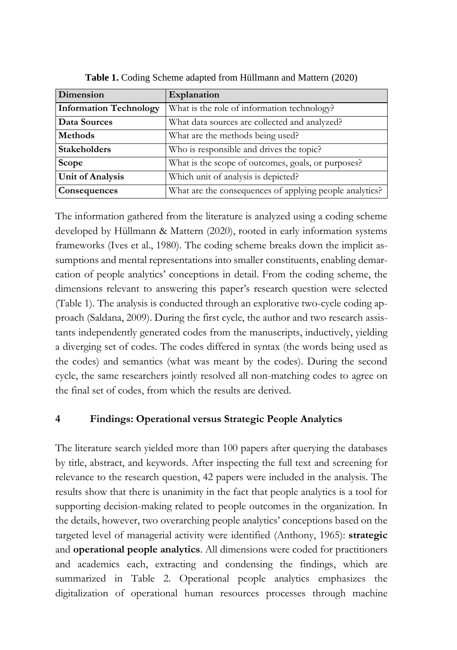<span id="page-7-0"></span>

| Dimension                     | Explanation                                             |  |  |
|-------------------------------|---------------------------------------------------------|--|--|
| <b>Information Technology</b> | What is the role of information technology?             |  |  |
| Data Sources                  | What data sources are collected and analyzed?           |  |  |
| <b>Methods</b>                | What are the methods being used?                        |  |  |
| <b>Stakeholders</b>           | Who is responsible and drives the topic?                |  |  |
| <b>Scope</b>                  | What is the scope of outcomes, goals, or purposes?      |  |  |
| <b>Unit of Analysis</b>       | Which unit of analysis is depicted?                     |  |  |
| Consequences                  | What are the consequences of applying people analytics? |  |  |

**Table 1.** Coding Scheme adapted from Hüllmann and Mattern (2020)

The information gathered from the literature is analyzed using a coding scheme developed by Hüllmann & Mattern (2020), rooted in early information systems frameworks (Ives et al., 1980). The coding scheme breaks down the implicit assumptions and mental representations into smaller constituents, enabling demarcation of people analytics' conceptions in detail. From the coding scheme, the dimensions relevant to answering this paper's research question were selected [\(Table 1\)](#page-7-0). The analysis is conducted through an explorative two-cycle coding approach (Saldana, 2009). During the first cycle, the author and two research assistants independently generated codes from the manuscripts, inductively, yielding a diverging set of codes. The codes differed in syntax (the words being used as the codes) and semantics (what was meant by the codes). During the second cycle, the same researchers jointly resolved all non-matching codes to agree on the final set of codes, from which the results are derived.

# **4 Findings: Operational versus Strategic People Analytics**

The literature search yielded more than 100 papers after querying the databases by title, abstract, and keywords. After inspecting the full text and screening for relevance to the research question, 42 papers were included in the analysis. The results show that there is unanimity in the fact that people analytics is a tool for supporting decision-making related to people outcomes in the organization. In the details, however, two overarching people analytics' conceptions based on the targeted level of managerial activity were identified (Anthony, 1965): **strategic** and **operational people analytics**. All dimensions were coded for practitioners and academics each, extracting and condensing the findings, which are summarized in [Table 2.](#page-8-0) Operational people analytics emphasizes the digitalization of operational human resources processes through machine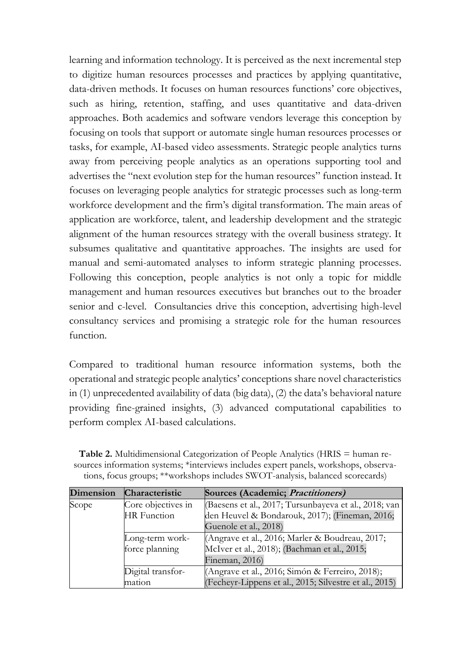learning and information technology. It is perceived as the next incremental step to digitize human resources processes and practices by applying quantitative, data-driven methods. It focuses on human resources functions' core objectives, such as hiring, retention, staffing, and uses quantitative and data-driven approaches. Both academics and software vendors leverage this conception by focusing on tools that support or automate single human resources processes or tasks, for example, AI-based video assessments. Strategic people analytics turns away from perceiving people analytics as an operations supporting tool and advertises the "next evolution step for the human resources" function instead. It focuses on leveraging people analytics for strategic processes such as long-term workforce development and the firm's digital transformation. The main areas of application are workforce, talent, and leadership development and the strategic alignment of the human resources strategy with the overall business strategy. It subsumes qualitative and quantitative approaches. The insights are used for manual and semi-automated analyses to inform strategic planning processes. Following this conception, people analytics is not only a topic for middle management and human resources executives but branches out to the broader senior and c-level. Consultancies drive this conception, advertising high-level consultancy services and promising a strategic role for the human resources function.

Compared to traditional human resource information systems, both the operational and strategic people analytics' conceptions share novel characteristics in (1) unprecedented availability of data (big data), (2) the data's behavioral nature providing fine-grained insights, (3) advanced computational capabilities to perform complex AI-based calculations.

| <b>Dimension</b> | Characteristic     | Sources (Academic; Practitioners)                      |
|------------------|--------------------|--------------------------------------------------------|
| Scope            | Core objectives in | (Baesens et al., 2017; Tursunbayeva et al., 2018; van  |
|                  | <b>HR</b> Function | den Heuvel & Bondarouk, 2017); (Fineman, 2016;         |
|                  |                    | Guenole et al., 2018)                                  |
|                  | Long-term work-    | (Angrave et al., 2016; Marler & Boudreau, 2017;        |
|                  | force planning     | McIver et al., 2018); (Bachman et al., 2015;           |
|                  |                    | Fineman, 2016)                                         |
|                  | Digital transfor-  | (Angrave et al., 2016; Simón & Ferreiro, 2018);        |
|                  | mation             | (Fecheyr-Lippens et al., 2015; Silvestre et al., 2015) |

<span id="page-8-0"></span>Table 2. Multidimensional Categorization of People Analytics (HRIS = human resources information systems; \*interviews includes expert panels, workshops, observations, focus groups; \*\*workshops includes SWOT-analysis, balanced scorecards)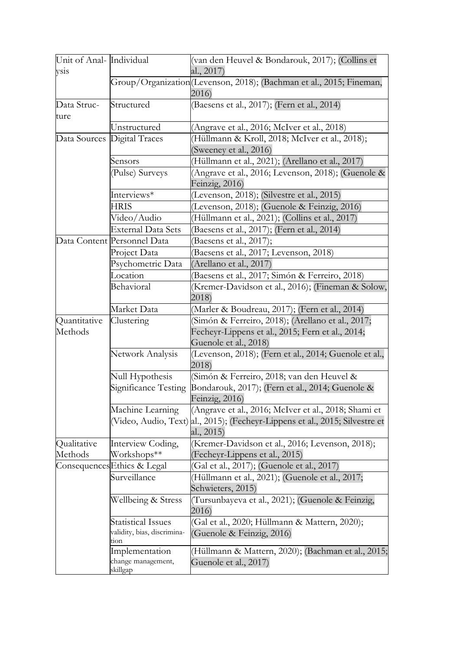| Unit of Anal- Individual<br>vsis      |                                                                  | (van den Heuvel & Bondarouk, 2017); (Collins et<br>al., 2017)                                                                  |  |  |  |  |
|---------------------------------------|------------------------------------------------------------------|--------------------------------------------------------------------------------------------------------------------------------|--|--|--|--|
|                                       |                                                                  | Group/Organization (Levenson, 2018); (Bachman et al., 2015; Fineman,<br>2016)                                                  |  |  |  |  |
| Data Struc-<br>ture                   | Structured                                                       | (Baesens et al., 2017); (Fern et al., 2014)                                                                                    |  |  |  |  |
|                                       | Unstructured                                                     | (Angrave et al., 2016; McIver et al., 2018)                                                                                    |  |  |  |  |
|                                       | Data Sources Digital Traces                                      | (Hüllmann & Kroll, 2018; McIver et al., 2018);                                                                                 |  |  |  |  |
|                                       |                                                                  | (Sweeney et al., 2016)                                                                                                         |  |  |  |  |
|                                       | Sensors                                                          | (Hüllmann et al., 2021); (Arellano et al., 2017)                                                                               |  |  |  |  |
|                                       | (Pulse) Surveys                                                  | (Angrave et al., 2016; Levenson, 2018); (Guenole &                                                                             |  |  |  |  |
|                                       |                                                                  | Feinzig, 2016)                                                                                                                 |  |  |  |  |
|                                       | Interviews*                                                      | (Levenson, 2018); (Silvestre et al., 2015)                                                                                     |  |  |  |  |
|                                       | HRIS                                                             | (Levenson, 2018); (Guenole & Feinzig, 2016)                                                                                    |  |  |  |  |
|                                       | Video/Audio                                                      | (Hüllmann et al., 2021); (Collins et al., 2017)                                                                                |  |  |  |  |
|                                       | External Data Sets                                               | (Baesens et al., 2017); (Fern et al., 2014)                                                                                    |  |  |  |  |
|                                       | Data Content Personnel Data                                      | (Baesens et al., 2017);                                                                                                        |  |  |  |  |
|                                       | Project Data                                                     | (Baesens et al., 2017; Levenson, 2018)                                                                                         |  |  |  |  |
|                                       | Psychometric Data                                                | (Arellano et al., 2017)                                                                                                        |  |  |  |  |
|                                       | Location                                                         | (Baesens et al., 2017; Simón & Ferreiro, 2018)                                                                                 |  |  |  |  |
|                                       | Behavioral                                                       | (Kremer-Davidson et al., 2016); (Fineman & Solow,                                                                              |  |  |  |  |
|                                       |                                                                  | 2018)                                                                                                                          |  |  |  |  |
|                                       | Market Data                                                      | (Marler & Boudreau, 2017); (Fern et al., 2014)                                                                                 |  |  |  |  |
| Quantitative<br>Clustering<br>Methods |                                                                  | (Simón & Ferreiro, 2018); (Arellano et al., 2017;<br>Fecheyr-Lippens et al., 2015; Fern et al., 2014;<br>Guenole et al., 2018) |  |  |  |  |
|                                       | Network Analysis                                                 | (Levenson, 2018); (Fern et al., 2014; Guenole et al.,<br>2018)                                                                 |  |  |  |  |
|                                       | Null Hypothesis                                                  | (Simón & Ferreiro, 2018; van den Heuvel &                                                                                      |  |  |  |  |
|                                       | Significance Testing                                             | Bondarouk, 2017); (Fern et al., 2014; Guenole &<br>Feinzig, 2016)                                                              |  |  |  |  |
|                                       | Machine Learning                                                 | (Angrave et al., 2016; McIver et al., 2018; Shami et                                                                           |  |  |  |  |
|                                       |                                                                  | (Video, Audio, Text) al., 2015); (Fecheyr-Lippens et al., 2015; Silvestre et                                                   |  |  |  |  |
|                                       |                                                                  | al., 2015)                                                                                                                     |  |  |  |  |
| Qualitative                           | Interview Coding,                                                | (Kremer-Davidson et al., 2016; Levenson, 2018);                                                                                |  |  |  |  |
| Methods                               | Workshops**                                                      | (Fecheyr-Lippens et al., 2015)                                                                                                 |  |  |  |  |
|                                       | Consequences Ethics & Legal                                      | (Gal et al., 2017); (Guenole et al., 2017)                                                                                     |  |  |  |  |
|                                       | Surveillance                                                     | (Hüllmann et al., 2021); (Guenole et al., 2017;<br>Schwieters, 2015)                                                           |  |  |  |  |
|                                       | Wellbeing & Stress                                               | (Tursunbayeva et al., 2021); (Guenole & Feinzig,<br>2016)                                                                      |  |  |  |  |
|                                       | <b>Statistical Issues</b><br>validity, bias, discrimina-<br>tion | (Gal et al., 2020; Hüllmann & Mattern, 2020);<br>(Guenole & Feinzig, 2016)                                                     |  |  |  |  |
|                                       | Implementation<br>change management,<br>skillgap                 | (Hüllmann & Mattern, 2020); (Bachman et al., 2015;<br>Guenole et al., 2017)                                                    |  |  |  |  |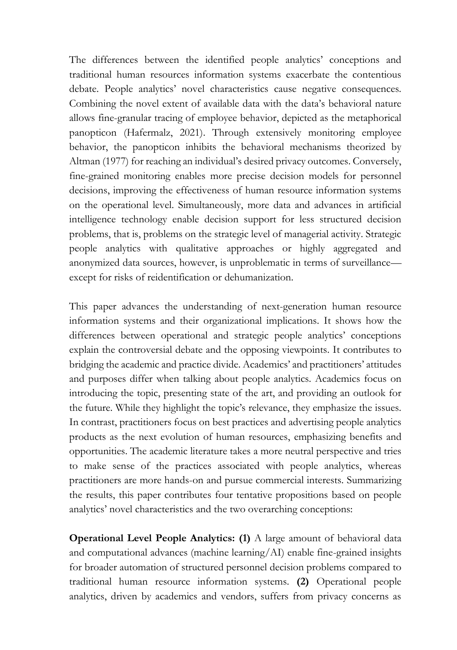The differences between the identified people analytics' conceptions and traditional human resources information systems exacerbate the contentious debate. People analytics' novel characteristics cause negative consequences. Combining the novel extent of available data with the data's behavioral nature allows fine-granular tracing of employee behavior, depicted as the metaphorical panopticon (Hafermalz, 2021). Through extensively monitoring employee behavior, the panopticon inhibits the behavioral mechanisms theorized by Altman (1977) for reaching an individual's desired privacy outcomes. Conversely, fine-grained monitoring enables more precise decision models for personnel decisions, improving the effectiveness of human resource information systems on the operational level. Simultaneously, more data and advances in artificial intelligence technology enable decision support for less structured decision problems, that is, problems on the strategic level of managerial activity. Strategic people analytics with qualitative approaches or highly aggregated and anonymized data sources, however, is unproblematic in terms of surveillance except for risks of reidentification or dehumanization.

This paper advances the understanding of next-generation human resource information systems and their organizational implications. It shows how the differences between operational and strategic people analytics' conceptions explain the controversial debate and the opposing viewpoints. It contributes to bridging the academic and practice divide. Academics' and practitioners' attitudes and purposes differ when talking about people analytics. Academics focus on introducing the topic, presenting state of the art, and providing an outlook for the future. While they highlight the topic's relevance, they emphasize the issues. In contrast, practitioners focus on best practices and advertising people analytics products as the next evolution of human resources, emphasizing benefits and opportunities. The academic literature takes a more neutral perspective and tries to make sense of the practices associated with people analytics, whereas practitioners are more hands-on and pursue commercial interests. Summarizing the results, this paper contributes four tentative propositions based on people analytics' novel characteristics and the two overarching conceptions:

**Operational Level People Analytics: (1)** A large amount of behavioral data and computational advances (machine learning/AI) enable fine-grained insights for broader automation of structured personnel decision problems compared to traditional human resource information systems. **(2)** Operational people analytics, driven by academics and vendors, suffers from privacy concerns as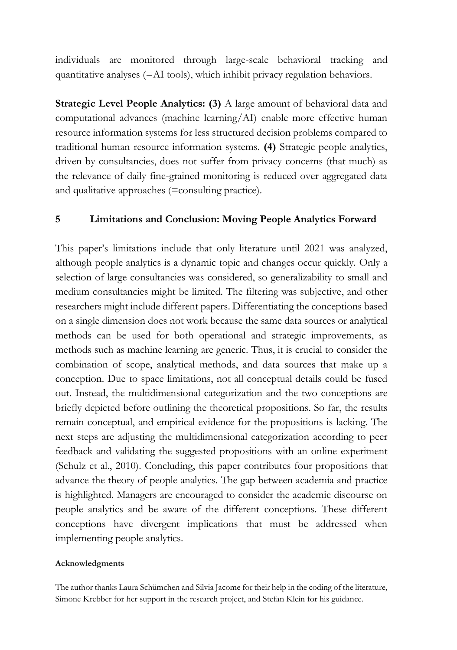individuals are monitored through large-scale behavioral tracking and quantitative analyses (=AI tools), which inhibit privacy regulation behaviors.

**Strategic Level People Analytics: (3)** A large amount of behavioral data and computational advances (machine learning/AI) enable more effective human resource information systems for less structured decision problems compared to traditional human resource information systems. **(4)** Strategic people analytics, driven by consultancies, does not suffer from privacy concerns (that much) as the relevance of daily fine-grained monitoring is reduced over aggregated data and qualitative approaches (=consulting practice).

#### **5 Limitations and Conclusion: Moving People Analytics Forward**

This paper's limitations include that only literature until 2021 was analyzed, although people analytics is a dynamic topic and changes occur quickly. Only a selection of large consultancies was considered, so generalizability to small and medium consultancies might be limited. The filtering was subjective, and other researchers might include different papers. Differentiating the conceptions based on a single dimension does not work because the same data sources or analytical methods can be used for both operational and strategic improvements, as methods such as machine learning are generic. Thus, it is crucial to consider the combination of scope, analytical methods, and data sources that make up a conception. Due to space limitations, not all conceptual details could be fused out. Instead, the multidimensional categorization and the two conceptions are briefly depicted before outlining the theoretical propositions. So far, the results remain conceptual, and empirical evidence for the propositions is lacking. The next steps are adjusting the multidimensional categorization according to peer feedback and validating the suggested propositions with an online experiment (Schulz et al., 2010). Concluding, this paper contributes four propositions that advance the theory of people analytics. The gap between academia and practice is highlighted. Managers are encouraged to consider the academic discourse on people analytics and be aware of the different conceptions. These different conceptions have divergent implications that must be addressed when implementing people analytics.

#### **Acknowledgments**

The author thanks Laura Schümchen and Silvia Jacome for their help in the coding of the literature, Simone Krebber for her support in the research project, and Stefan Klein for his guidance.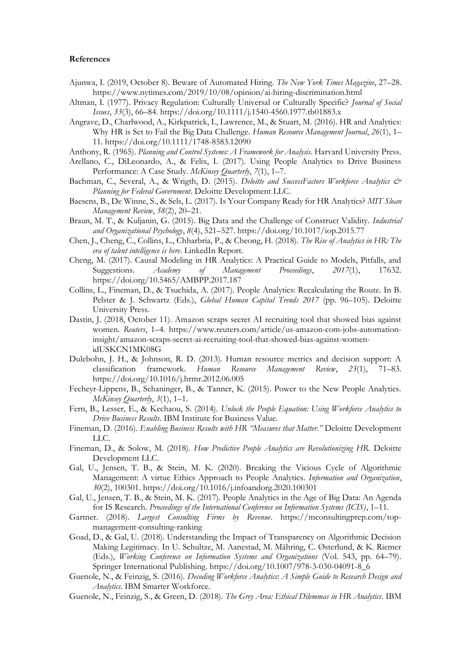#### **References**

- Ajunwa, I. (2019, October 8). Beware of Automated Hiring. *The New York Times Magazine*, 27–28. https://www.nytimes.com/2019/10/08/opinion/ai-hiring-discrimination.html
- Altman, I. (1977). Privacy Regulation: Culturally Universal or Culturally Specific? *Journal of Social Issues*, *33*(3), 66–84. https://doi.org/10.1111/j.1540-4560.1977.tb01883.x
- Angrave, D., Charlwood, A., Kirkpatrick, I., Lawrence, M., & Stuart, M. (2016). HR and Analytics: Why HR is Set to Fail the Big Data Challenge. *Human Resource Management Journal*, *26*(1), 1– 11. https://doi.org/10.1111/1748-8583.12090
- Anthony, R. (1965). *Planning and Control Systems: A Framework for Analysis*. Harvard University Press.
- Arellano, C., DiLeonardo, A., & Felix, I. (2017). Using People Analytics to Drive Business Performance: A Case Study. *McKinsey Quarterly*, *7*(1), 1–7.
- Bachman, C., Several, A., & Wrigth, D. (2015). *Deloitte and SuccessFactors Workforce Analytics & Planning for Federal Government*. Deloitte Development LLC.
- Baesens, B., De Winne, S., & Sels, L. (2017). Is Your Company Ready for HR Analytics? *MIT Sloan Management Review*, *58*(2), 20–21.
- Braun, M. T., & Kuljanin, G. (2015). Big Data and the Challenge of Construct Validity. *Industrial and Organizational Psychology*, *8*(4), 521–527. https://doi.org/10.1017/iop.2015.77
- Chen, J., Cheng, C., Collins, L., Chharbria, P., & Cheong, H. (2018). *The Rise of Analytics in HR: The era of talent intelligence is here*. LinkedIn Report.
- Cheng, M. (2017). Causal Modeling in HR Analytics: A Practical Guide to Models, Pitfalls, and Suggestions. *Academy of Management Proceedings*, *2017*(1), 17632. https://doi.org/10.5465/AMBPP.2017.187
- Collins, L., Fineman, D., & Tsuchida, A. (2017). People Analytics: Recalculating the Route. In B. Pelster & J. Schwartz (Eds.), *Global Human Capital Trends 2017* (pp. 96–105). Deloitte University Press.
- Dastin, J. (2018, October 11). Amazon scraps secret AI recruiting tool that showed bias against women. *Reuters*, 1–4. https://www.reuters.com/article/us-amazon-com-jobs-automationinsight/amazon-scraps-secret-ai-recruiting-tool-that-showed-bias-against-womenidUSKCN1MK08G
- Dulebohn, J. H., & Johnson, R. D. (2013). Human resource metrics and decision support: A classification framework. *Human Resource Management Review*, 23(1), 71–83. classification framework. *Human Resource Management Review*, *23*(1), 71–83. https://doi.org/10.1016/j.hrmr.2012.06.005
- Fecheyr-Lippens, B., Schaninger, B., & Tanner, K. (2015). Power to the New People Analytics. *McKinsey Quarterly*, *3*(1), 1–1.
- Fern, B., Lesser, E., & Kechaou, S. (2014). *Unlock the People Equation: Using Workforce Analytics to Drive Business Results*. IBM Institute for Business Value.
- Fineman, D. (2016). *Enabling Business Results with HR "Measures that Matter."* Deloitte Development LLC.
- Fineman, D., & Solow, M. (2018). *How Predictive People Analytics are Revolutionizing HR*. Deloitte Development LLC.
- Gal, U., Jensen, T. B., & Stein, M. K. (2020). Breaking the Vicious Cycle of Algorithmic Management: A virtue Ethics Approach to People Analytics. *Information and Organization*, *30*(2), 100301. https://doi.org/10.1016/j.infoandorg.2020.100301
- Gal, U., Jensen, T. B., & Stein, M. K. (2017). People Analytics in the Age of Big Data: An Agenda for IS Research. *Proceedings of the International Conference on Information Systems (ICIS)*, 1–11.
- Gartner. (2018). *Largest Consulting Firms by Revenue*. https://mconsultingprep.com/topmanagement-consulting-ranking
- Goad, D., & Gal, U. (2018). Understanding the Impact of Transparency on Algorithmic Decision Making Legitimacy. In U. Schultze, M. Aanestad, M. Mähring, C. Østerlund, & K. Riemer (Eds.), *Working Conference on Information Systems and Organizations* (Vol. 543, pp. 64–79). Springer International Publishing. https://doi.org/10.1007/978-3-030-04091-8\_6
- Guenole, N., & Feinzig, S. (2016). *Decoding Workforce Analytics: A Simple Guide to Research Design and Analytics*. IBM Smarter Workforce.
- Guenole, N., Feinzig, S., & Green, D. (2018). *The Grey Area: Ethical Dilemmas in HR Analytics*. IBM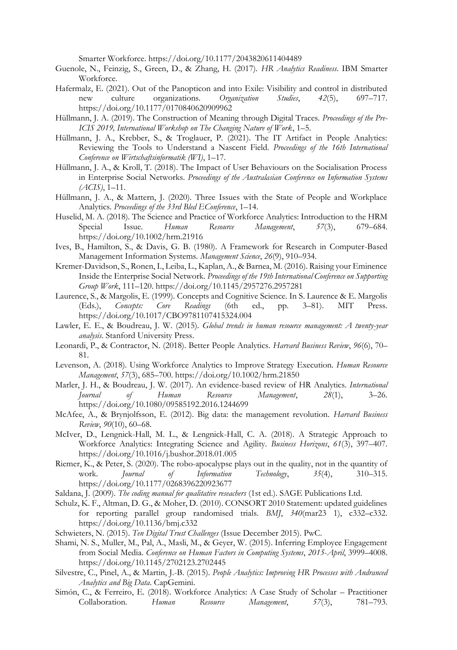Smarter Workforce. https://doi.org/10.1177/2043820611404489

- Guenole, N., Feinzig, S., Green, D., & Zhang, H. (2017). *HR Analytics Readiness*. IBM Smarter Workforce.
- Hafermalz, E. (2021). Out of the Panopticon and into Exile: Visibility and control in distributed<br>new culture organizations. Organization Studies, 42(5), 697–717. new culture organizations. https://doi.org/10.1177/0170840620909962
- Hüllmann, J. A. (2019). The Construction of Meaning through Digital Traces. *Proceedings of the Pre-ICIS 2019, International Workshop on The Changing Nature of Work*, 1–5.
- Hüllmann, J. A., Krebber, S., & Troglauer, P. (2021). The IT Artifact in People Analytics: Reviewing the Tools to Understand a Nascent Field. *Proceedings of the 16th International Conference on Wirtschaftsinformatik (WI)*, 1–17.
- Hüllmann, J. A., & Kroll, T. (2018). The Impact of User Behaviours on the Socialisation Process in Enterprise Social Networks. *Proceedings of the Australasian Conference on Information Systems (ACIS)*, 1–11.
- Hüllmann, J. A., & Mattern, J. (2020). Three Issues with the State of People and Workplace Analytics. *Proceedings of the 33rd Bled EConference*, 1–14.
- Huselid, M. A. (2018). The Science and Practice of Workforce Analytics: Introduction to the HRM Special Issue. *Human Resource Management*, *57*(3), 679–684. https://doi.org/10.1002/hrm.21916
- Ives, B., Hamilton, S., & Davis, G. B. (1980). A Framework for Research in Computer-Based Management Information Systems. *Management Science*, *26*(9), 910–934.
- Kremer-Davidson, S., Ronen, I., Leiba, L., Kaplan, A., & Barnea, M. (2016). Raising your Eminence Inside the Enterprise Social Network. *Proceedings of the 19th International Conference on Supporting Group Work*, 111–120. https://doi.org/10.1145/2957276.2957281
- Laurence, S., & Margolis, E. (1999). Concepts and Cognitive Science. In S. Laurence & E. Margolis (Eds.), *Concepts: Core Readings* (6th ed., pp. 3–81). MIT Press. https://doi.org/10.1017/CBO9781107415324.004
- Lawler, E. E., & Boudreau, J. W. (2015). *Global trends in human resource management: A twenty-year analysis*. Stanford University Press.
- Leonardi, P., & Contractor, N. (2018). Better People Analytics. *Harvard Business Review*, *96*(6), 70– 81.
- Levenson, A. (2018). Using Workforce Analytics to Improve Strategy Execution. *Human Resource Management*, *57*(3), 685–700. https://doi.org/10.1002/hrm.21850
- Marler, J. H., & Boudreau, J. W. (2017). An evidence-based review of HR Analytics. *International of* Human Resource Management,  $28(1)$ , 3–26. https://doi.org/10.1080/09585192.2016.1244699
- McAfee, A., & Brynjolfsson, E. (2012). Big data: the management revolution. *Harvard Business Review*, *90*(10), 60–68.
- McIver, D., Lengnick-Hall, M. L., & Lengnick-Hall, C. A. (2018). A Strategic Approach to Workforce Analytics: Integrating Science and Agility. *Business Horizons*, *61*(3), 397–407. https://doi.org/10.1016/j.bushor.2018.01.005
- Riemer, K., & Peter, S. (2020). The robo-apocalypse plays out in the quality, not in the quantity of work. *Journal of Information Technology*, *35*(4), 310–315. https://doi.org/10.1177/0268396220923677
- Saldana, J. (2009). *The coding manual for qualitative reseachers* (1st ed.). SAGE Publications Ltd.
- Schulz, K. F., Altman, D. G., & Moher, D. (2010). CONSORT 2010 Statement: updated guidelines for reporting parallel group randomised trials. *BMJ*, *340*(mar23 1), c332–c332. https://doi.org/10.1136/bmj.c332
- Schwieters, N. (2015). *Ten Digital Trust Challenges* (Issue December 2015). PwC.
- Shami, N. S., Muller, M., Pal, A., Masli, M., & Geyer, W. (2015). Inferring Employee Engagement from Social Media. *Conference on Human Factors in Computing Systems*, *2015*-*April*, 3999–4008. https://doi.org/10.1145/2702123.2702445
- Silvestre, C., Pinel, A., & Martin, J.-B. (2015). *People Analytics: Improving HR Processes with Andranced Analytics and Big Data*. CapGemini.
- Simón, C., & Ferreiro, E. (2018). Workforce Analytics: A Case Study of Scholar Practitioner Collaboration. *Human Resource Management*, *57*(3), 781–793.